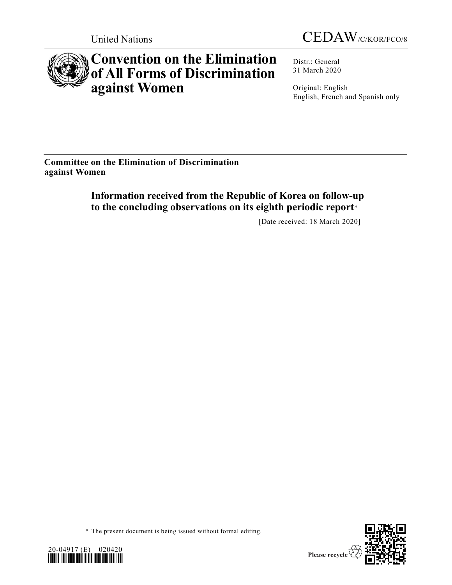



# **Convention on the Elimination of All Forms of Discrimination against Women**

Distr.: General 31 March 2020

Original: English English, French and Spanish only

**Committee on the Elimination of Discrimination against Women**

> **Information received from the Republic of Korea on follow-up to the concluding observations on its eighth periodic report**\*

> > [Date received: 18 March 2020]

<sup>\*</sup> The present document is being issued without formal editing.



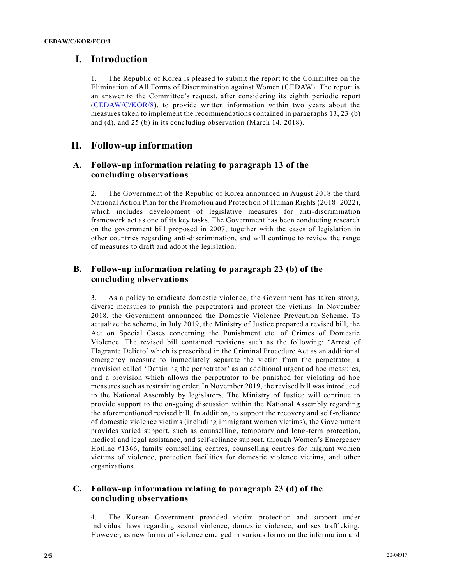### **I. Introduction**

1. The Republic of Korea is pleased to submit the report to the Committee on the Elimination of All Forms of Discrimination against Women (CEDAW). The report is an answer to the Committee's request, after considering its eighth periodic report [\(CEDAW/C/KOR/8\)](https://undocs.org/en/CEDAW/C/KOR/8), to provide written information within two years about the measures taken to implement the recommendations contained in paragraphs 13, 23 (b) and (d), and 25 (b) in its concluding observation (March 14, 2018).

## **II. Follow-up information**

#### **A. Follow-up information relating to paragraph 13 of the concluding observations**

2. The Government of the Republic of Korea announced in August 2018 the third National Action Plan for the Promotion and Protection of Human Rights (2018–2022), which includes development of legislative measures for anti-discrimination framework act as one of its key tasks. The Government has been conducting research on the government bill proposed in 2007, together with the cases of legislation in other countries regarding anti-discrimination, and will continue to review the range of measures to draft and adopt the legislation.

#### **B. Follow-up information relating to paragraph 23 (b) of the concluding observations**

3. As a policy to eradicate domestic violence, the Government has taken strong, diverse measures to punish the perpetrators and protect the victims. In November 2018, the Government announced the Domestic Violence Prevention Scheme. To actualize the scheme, in July 2019, the Ministry of Justice prepared a revised bill, the Act on Special Cases concerning the Punishment etc. of Crimes of Domestic Violence. The revised bill contained revisions such as the following: 'Arrest of Flagrante Delicto' which is prescribed in the Criminal Procedure Act as an additional emergency measure to immediately separate the victim from the perpetrator, a provision called 'Detaining the perpetrator' as an additional urgent ad hoc measures, and a provision which allows the perpetrator to be punished for violating ad hoc measures such as restraining order. In November 2019, the revised bill was introduced to the National Assembly by legislators. The Ministry of Justice will continue to provide support to the on-going discussion within the National Assembly regarding the aforementioned revised bill. In addition, to support the recovery and self-reliance of domestic violence victims (including immigrant women victims), the Government provides varied support, such as counselling, temporary and long-term protection, medical and legal assistance, and self-reliance support, through Women's Emergency Hotline #1366, family counselling centres, counselling centres for migrant women victims of violence, protection facilities for domestic violence victims, and other organizations.

#### **C. Follow-up information relating to paragraph 23 (d) of the concluding observations**

4. The Korean Government provided victim protection and support under individual laws regarding sexual violence, domestic violence, and sex trafficking. However, as new forms of violence emerged in various forms on the information and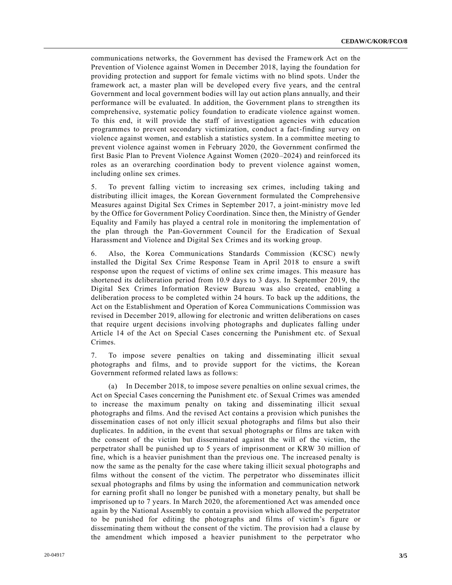communications networks, the Government has devised the Framework Act on the Prevention of Violence against Women in December 2018, laying the foundation for providing protection and support for female victims with no blind spots. Under the framework act, a master plan will be developed every five years, and the central Government and local government bodies will lay out action plans annually, and their performance will be evaluated. In addition, the Government plans to strengthen its comprehensive, systematic policy foundation to eradicate violence against women. To this end, it will provide the staff of investigation agencies with education programmes to prevent secondary victimization, conduct a fact-finding survey on violence against women, and establish a statistics system. In a committee meeting to prevent violence against women in February 2020, the Government confirmed the first Basic Plan to Prevent Violence Against Women (2020–2024) and reinforced its roles as an overarching coordination body to prevent violence against women, including online sex crimes.

5. To prevent falling victim to increasing sex crimes, including taking and distributing illicit images, the Korean Government formulated the Comprehensive Measures against Digital Sex Crimes in September 2017, a joint-ministry move led by the Office for Government Policy Coordination. Since then, the Ministry of Gender Equality and Family has played a central role in monitoring the implementation of the plan through the Pan-Government Council for the Eradication of Sexual Harassment and Violence and Digital Sex Crimes and its working group.

6. Also, the Korea Communications Standards Commission (KCSC) newly installed the Digital Sex Crime Response Team in April 2018 to ensure a swift response upon the request of victims of online sex crime images. This measure has shortened its deliberation period from 10.9 days to 3 days. In September 2019, the Digital Sex Crimes Information Review Bureau was also created, enabling a deliberation process to be completed within 24 hours. To back up the additions, the Act on the Establishment and Operation of Korea Communications Commission was revised in December 2019, allowing for electronic and written deliberations on cases that require urgent decisions involving photographs and duplicates falling under Article 14 of the Act on Special Cases concerning the Punishment etc. of Sexual Crimes.

7. To impose severe penalties on taking and disseminating illicit sexual photographs and films, and to provide support for the victims, the Korean Government reformed related laws as follows:

(a) In December 2018, to impose severe penalties on online sexual crimes, the Act on Special Cases concerning the Punishment etc. of Sexual Crimes was amended to increase the maximum penalty on taking and disseminating illicit sexual photographs and films. And the revised Act contains a provision which punishes the dissemination cases of not only illicit sexual photographs and films but also their duplicates. In addition, in the event that sexual photographs or films are taken with the consent of the victim but disseminated against the will of the victim, the perpetrator shall be punished up to 5 years of imprisonment or KRW 30 million of fine, which is a heavier punishment than the previous one. The increased penalty is now the same as the penalty for the case where taking illicit sexual photographs and films without the consent of the victim. The perpetrator who disseminates illicit sexual photographs and films by using the information and communication network for earning profit shall no longer be punished with a monetary penalty, but shall be imprisoned up to 7 years. In March 2020, the aforementioned Act was amended once again by the National Assembly to contain a provision which allowed the perpetrator to be punished for editing the photographs and films of victim's figure or disseminating them without the consent of the victim. The provision had a clause by the amendment which imposed a heavier punishment to the perpetrator who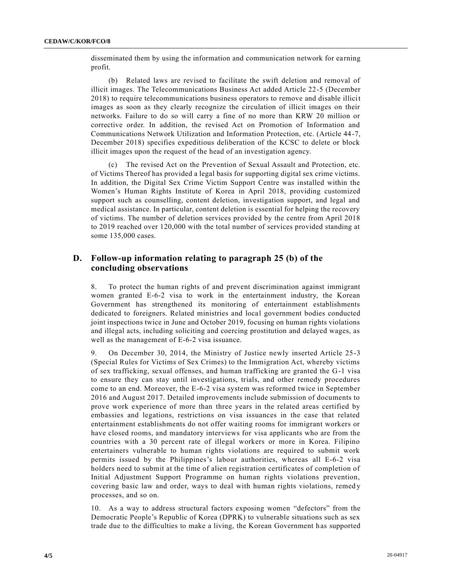disseminated them by using the information and communication network for earning profit.

(b) Related laws are revised to facilitate the swift deletion and removal of illicit images. The Telecommunications Business Act added Article 22-5 (December 2018) to require telecommunications business operators to remove and disable illicit images as soon as they clearly recognize the circulation of illicit images on their networks. Failure to do so will carry a fine of no more than KRW 20 million or corrective order. In addition, the revised Act on Promotion of Information and Communications Network Utilization and Information Protection, etc. (Article 44-7, December 2018) specifies expeditious deliberation of the KCSC to delete or block illicit images upon the request of the head of an investigation agency.

(c) The revised Act on the Prevention of Sexual Assault and Protection, etc. of Victims Thereof has provided a legal basis for supporting digital sex crime victims. In addition, the Digital Sex Crime Victim Support Centre was installed within the Women's Human Rights Institute of Korea in April 2018, providing customized support such as counselling, content deletion, investigation support, and legal and medical assistance. In particular, content deletion is essential for helping the recovery of victims. The number of deletion services provided by the centre from April 2018 to 2019 reached over 120,000 with the total number of services provided standing at some 135,000 cases.

#### **D. Follow-up information relating to paragraph 25 (b) of the concluding observations**

8. To protect the human rights of and prevent discrimination against immigrant women granted E-6-2 visa to work in the entertainment industry, the Korean Government has strengthened its monitoring of entertainment establishments dedicated to foreigners. Related ministries and local government bodies conducted joint inspections twice in June and October 2019, focusing on human rights violations and illegal acts, including soliciting and coercing prostitution and delayed wages, as well as the management of E-6-2 visa issuance.

9. On December 30, 2014, the Ministry of Justice newly inserted Article 25-3 (Special Rules for Victims of Sex Crimes) to the Immigration Act, whereby victims of sex trafficking, sexual offenses, and human trafficking are granted the G-1 visa to ensure they can stay until investigations, trials, and other remedy procedures come to an end. Moreover, the E-6-2 visa system was reformed twice in September 2016 and August 2017. Detailed improvements include submission of documents to prove work experience of more than three years in the related areas certified by embassies and legations, restrictions on visa issuances in the case that related entertainment establishments do not offer waiting rooms for immigrant workers or have closed rooms, and mandatory interviews for visa applicants who are from the countries with a 30 percent rate of illegal workers or more in Korea. Filipino entertainers vulnerable to human rights violations are required to submit work permits issued by the Philippines's labour authorities, whereas all E-6-2 visa holders need to submit at the time of alien registration certificates of completion of Initial Adjustment Support Programme on human rights violations prevention, covering basic law and order, ways to deal with human rights violations, remedy processes, and so on.

10. As a way to address structural factors exposing women "defectors" from the Democratic People's Republic of Korea (DPRK) to vulnerable situations such as sex trade due to the difficulties to make a living, the Korean Government has supported